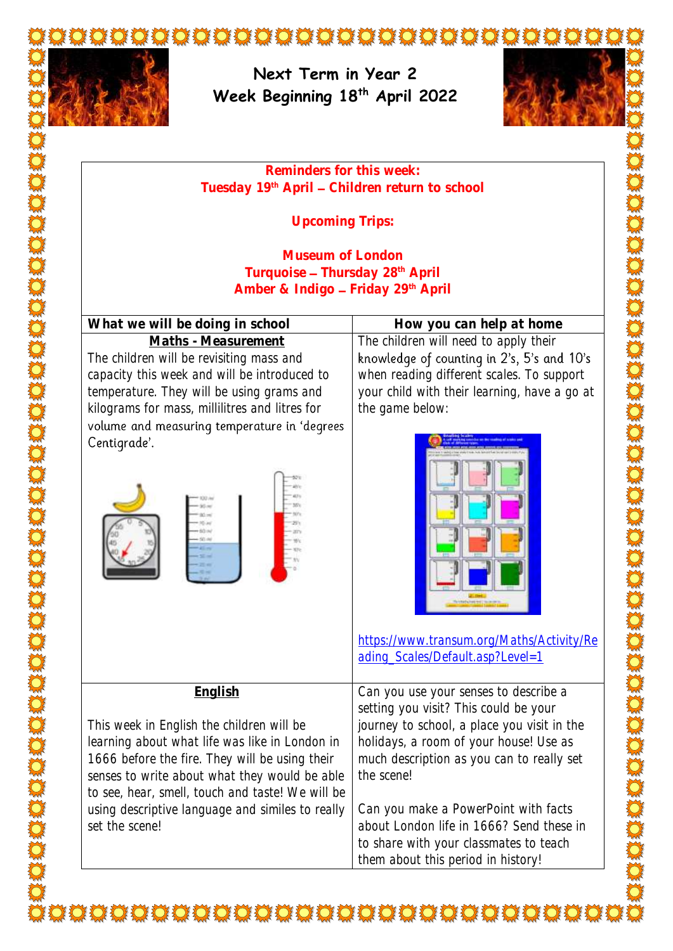



**Next Term in Year 2 Week Beginning 18th April 2022**



**Reminders for this week: Tuesday 19th April Children return to school**

**Upcoming Trips:**

**Museum of London**  Turquoise - Thursday 28<sup>th</sup> April Amber & Indigo - Friday 29<sup>th</sup> April

**What we will be doing in school**  $\qquad$  **How you can help at home Maths - Measurement** The children will be revisiting mass and capacity this week and will be introduced to temperature. They will be using grams and kilograms for mass, millilitres and litres for volume and measuring temperature in 'degrees Centigrade'.



The children will need to apply their<br>knowledge of counting in 2's, 5's and 10's when reading different scales. To support your child with their learning, have a go at the game below:



[https://www.transum.org/Maths/Activity/Re](https://www.transum.org/Maths/Activity/Reading_Scales/Default.asp?Level=1) [ading\\_Scales/Default.asp?Level=1](https://www.transum.org/Maths/Activity/Reading_Scales/Default.asp?Level=1)

| English                                          | Can you use your senses to describe a       |
|--------------------------------------------------|---------------------------------------------|
|                                                  | setting you visit? This could be your       |
| This week in English the children will be        | journey to school, a place you visit in the |
| learning about what life was like in London in   | holidays, a room of your house! Use as      |
| 1666 before the fire. They will be using their   | much description as you can to really set   |
| senses to write about what they would be able    | the scene!                                  |
| to see, hear, smell, touch and taste! We will be |                                             |
| using descriptive language and similes to really | Can you make a PowerPoint with facts        |
| set the scene!                                   | about London life in 1666? Send these in    |
|                                                  | to share with your classmates to teach      |
|                                                  | them about this period in history!          |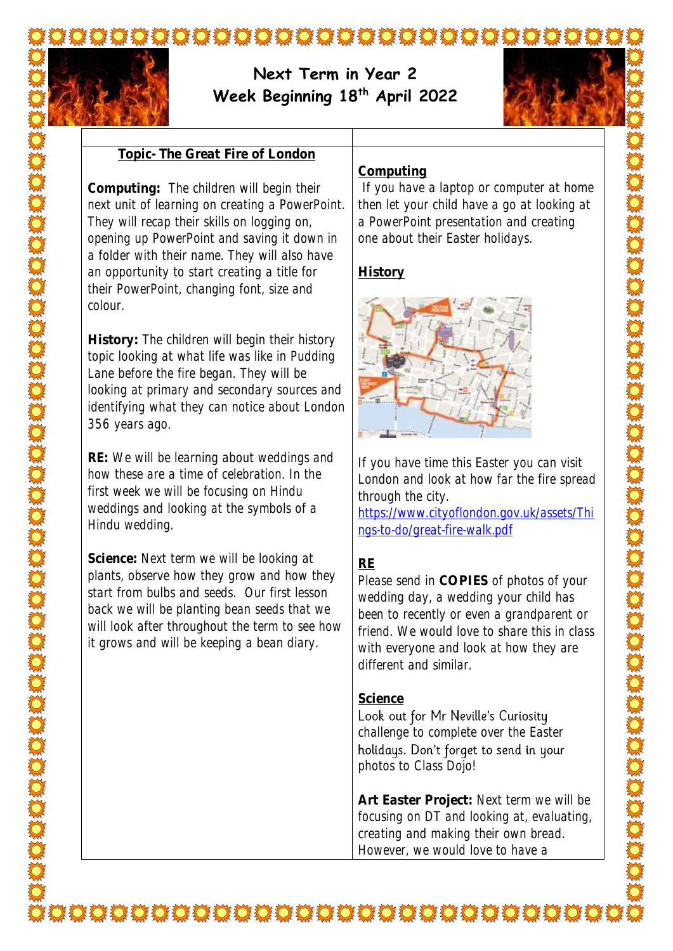

# **Next Term in Year 2 Week Beginning 18th April 2022**



#### **Topic- The Great Fire of London**

**Computing:** The children will begin their next unit of learning on creating a PowerPoint. They will recap their skills on logging on, opening up PowerPoint and saving it down in a folder with their name. They will also have an opportunity to start creating a title for their PowerPoint, changing font, size and colour.

**History:** The children will begin their history topic looking at what life was like in Pudding Lane before the fire began. They will be looking at primary and secondary sources and identifying what they can notice about London 356 years ago.

**RE:** We will be learning about weddings and how these are a time of celebration. In the first week we will be focusing on Hindu weddings and looking at the symbols of a Hindu wedding.

**Science:** Next term we will be looking at plants, observe how they grow and how they start from bulbs and seeds. Our first lesson back we will be planting bean seeds that we will look after throughout the term to see how it grows and will be keeping a bean diary.

#### **Computing**

If you have a laptop or computer at home then let your child have a go at looking at a PowerPoint presentation and creating one about their Easter holidays.

## **History**



If you have time this Easter you can visit London and look at how far the fire spread through the city.

[https://www.cityoflondon.gov.uk/assets/Thi](https://www.cityoflondon.gov.uk/assets/Things-to-do/great-fire-walk.pdf) [ngs-to-do/great-fire-walk.pdf](https://www.cityoflondon.gov.uk/assets/Things-to-do/great-fire-walk.pdf)

## **RE**

Please send in **COPIES** of photos of your wedding day, a wedding your child has been to recently or even a grandparent or friend. We would love to share this in class with everyone and look at how they are different and similar.

### **Science**

Look out for Mr Neville's Curiosity challenge to complete over the Easter holidays. Don't forget to send in your photos to Class Dojo!

**Art Easter Project:** Next term we will be focusing on DT and looking at, evaluating, creating and making their own bread. However, we would love to have a